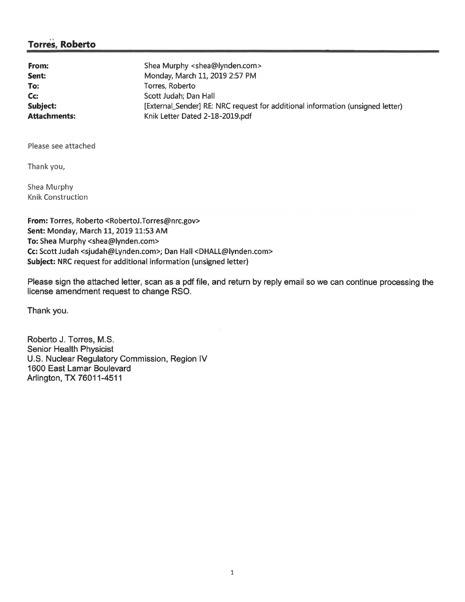## **Torres, Roberto**

| From:               | Shea Murphy <shea@lynden.com></shea@lynden.com>                                |
|---------------------|--------------------------------------------------------------------------------|
| Sent:               | Monday, March 11, 2019 2:57 PM                                                 |
| To:                 | Torres, Roberto                                                                |
| Cc:                 | Scott Judah; Dan Hall                                                          |
| <b>Subject:</b>     | [External_Sender] RE: NRC request for additional information (unsigned letter) |
| <b>Attachments:</b> | Knik Letter Dated 2-18-2019.pdf                                                |

Please see attached

Thank you,

Shea Murphy Knik Construction

**From:** Torres, Roberto <RobertoJ.Torres@nrc.gov> **Sent:** Monday, March 11, 2019 11:53 AM **To:** Shea Murphy <shea@lynden.com> **Cc:** Scott Judah <sjudah@Lynden.com>; Dan Hall <DHALL@lynden.com> **Subject:** NRC request for additional information (unsigned letter)

Please sign the attached letter, scan as a pdf file, and return by reply email so we can continue processing the license amendment request to change RSO.

Thank you.

Roberto J. Torres, M.S. Senior Health Physicist U.S. Nuclear Regulatory Commission, Region IV 1600 East Lamar Boulevard Arlington, TX 76011-4511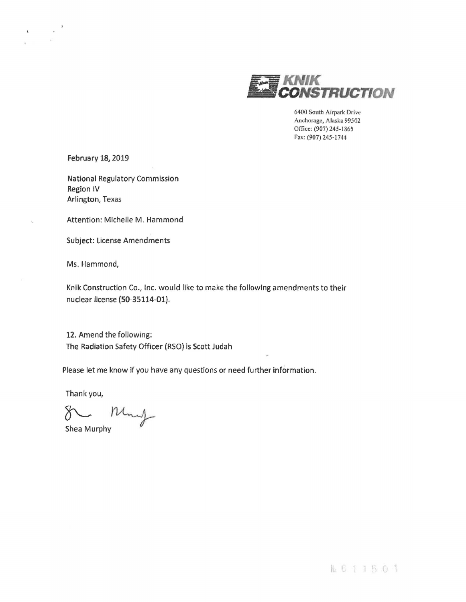

6400 South Airpark Driw Anchorage, Alaska 99502 Office: (907) 245-1865 Fax: (907) 245-1744

February 18, 2019

 $\mathbf{r}$ 

National Regulatory Commission Region IV Arlington, Texas

Attention: Michelle M. Hammond

Subject: license Amendments

Ms. Hammond,

Knik Construction Co., Inc. would like to make the following amendments to their nuclear license (50-35114-0l).

12. Amend the following: The Radiation Safety Officer (RSO) is Scott Judah

Please let me know if you have any questions or need further information.

Thank you,

~~ Shea Murphy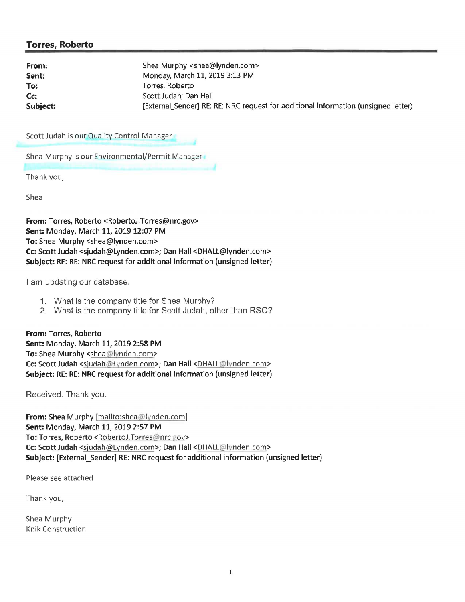## **Torres, Roberto**

| From:    | Shea Murphy <shea@lynden.com></shea@lynden.com>                                    |
|----------|------------------------------------------------------------------------------------|
| Sent:    | Monday, March 11, 2019 3:13 PM                                                     |
| To:      | Torres, Roberto                                                                    |
| Cc:      | Scott Judah; Dan Hall                                                              |
| Subject: | [External_Sender] RE: RE: NRC request for additional information (unsigned letter) |
|          |                                                                                    |

Scott Judah is our Quality Control Manager

Shea Murphy is our Environmental/Permit Manager

Thank you,

Shea

**From:** Torres, Roberto <RobertoJ.Torres@nrc.gov> **Sent:** Monday, March 11, 2019 12:07 PM **To:** Shea Murphy <shea@lynden.com> **Cc:** Scott Judah <sjudah@Lynden.com>; Dan Hall <DHALL@lynden.com> **Subject:** RE: RE: NRC request for additional information (unsigned letter)

I am updating our database.

- 1. What is the company title for Shea Murphy?
- 2. What is the company title for Scott Judah, other than RSO?

**From:** Torres, Roberto **Sent:** Monday, March 11, 2019 2:58 PM **To: Shea Murphy <shea@lynden.com>** Cc: Scott Judah <sjudah@Lynden.com>; Dan Hall <DHALL@lynden.com> **Subject:** RE: RE: NRC request for additional information (unsigned letter)

Received. Thank you.

**From:** Shea Murphy [mailto:shea@lynden.com] **Sent:** Monday, March 11, 2019 2:57 PM **To:** Torres, Roberto <RobertoJ.Torres@nrc.gov> Cc: Scott Judah <sjudah@Lynden.com>; Dan Hall <DHALL@lynden.com> Subject: [External Sender] RE: NRC request for additional information (unsigned letter)

Please see attached

Thank you,

Shea Murphy Knik Construction